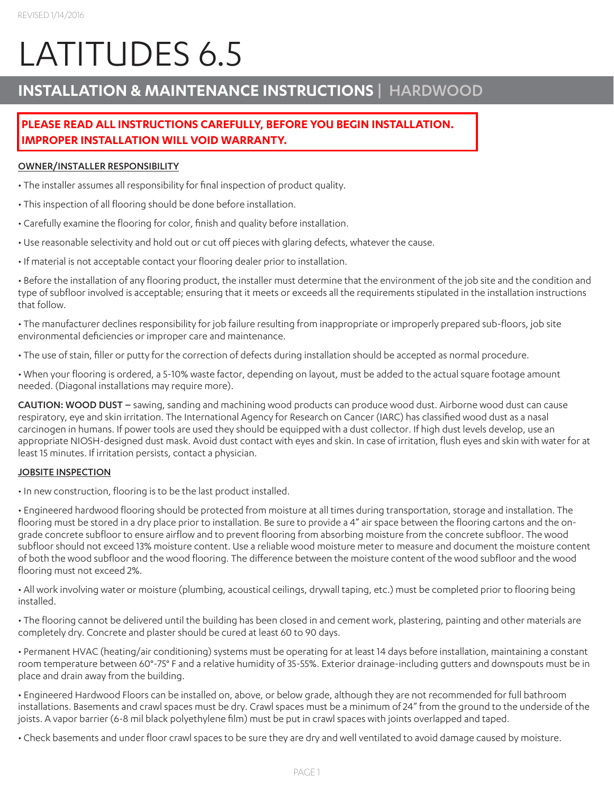# LATITUDES 6.5

# **INSTALLATION & MAINTENANCE INSTRUCTIONS** | HARDWOOD

# **PLEASE READ ALL INSTRUCTIONS CAREFULLY, BEFORE YOU BEGIN INSTALLATION. IMPROPER INSTALLATION WILL VOID WARRANTY.**

# OWNER/INSTALLER RESPONSIBILITY

- The installer assumes all responsibility for final inspection of product quality.
- This inspection of all flooring should be done before installation.
- Carefully examine the flooring for color, finish and quality before installation.
- Use reasonable selectivity and hold out or cut off pieces with glaring defects, whatever the cause.
- If material is not acceptable contact your flooring dealer prior to installation.

• Before the installation of any flooring product, the installer must determine that the environment of the job site and the condition and type of subfloor involved is acceptable; ensuring that it meets or exceeds all the requirements stipulated in the installation instructions that follow.

• The manufacturer declines responsibility for job failure resulting from inappropriate or improperly prepared sub-floors, job site environmental deficiencies or improper care and maintenance.

• The use of stain, filler or putty for the correction of defects during installation should be accepted as normal procedure.

• When your flooring is ordered, a 5-10% waste factor, depending on layout, must be added to the actual square footage amount needed. (Diagonal installations may require more).

CAUTION: WOOD DUST – sawing, sanding and machining wood products can produce wood dust. Airborne wood dust can cause respiratory, eye and skin irritation. The International Agency for Research on Cancer (IARC) has classified wood dust as a nasal carcinogen in humans. If power tools are used they should be equipped with a dust collector. If high dust levels develop, use an appropriate NIOSH-designed dust mask. Avoid dust contact with eyes and skin. In case of irritation, flush eyes and skin with water for at least 15 minutes. If irritation persists, contact a physician.

# JOBSITE INSPECTION

• In new construction, flooring is to be the last product installed.

• Engineered hardwood flooring should be protected from moisture at all times during transportation, storage and installation. The flooring must be stored in a dry place prior to installation. Be sure to provide a 4" air space between the flooring cartons and the ongrade concrete subfloor to ensure airflow and to prevent flooring from absorbing moisture from the concrete subfloor. The wood subfloor should not exceed 13% moisture content. Use a reliable wood moisture meter to measure and document the moisture content of both the wood subfloor and the wood flooring. The difference between the moisture content of the wood subfloor and the wood flooring must not exceed 2%.

• All work involving water or moisture (plumbing, acoustical ceilings, drywall taping, etc.) must be completed prior to flooring being installed.

• The flooring cannot be delivered until the building has been closed in and cement work, plastering, painting and other materials are completely dry. Concrete and plaster should be cured at least 60 to 90 days.

• Permanent HVAC (heating/air conditioning) systems must be operating for at least 14 days before installation, maintaining a constant room temperature between 60°-75° F and a relative humidity of 35-55%. Exterior drainage-including gutters and downspouts must be in place and drain away from the building.

• Engineered Hardwood Floors can be installed on, above, or below grade, although they are not recommended for full bathroom installations. Basements and crawl spaces must be dry. Crawl spaces must be a minimum of 24" from the ground to the underside of the joists. A vapor barrier (6-8 mil black polyethylene film) must be put in crawl spaces with joints overlapped and taped.

• Check basements and under floor crawl spaces to be sure they are dry and well ventilated to avoid damage caused by moisture.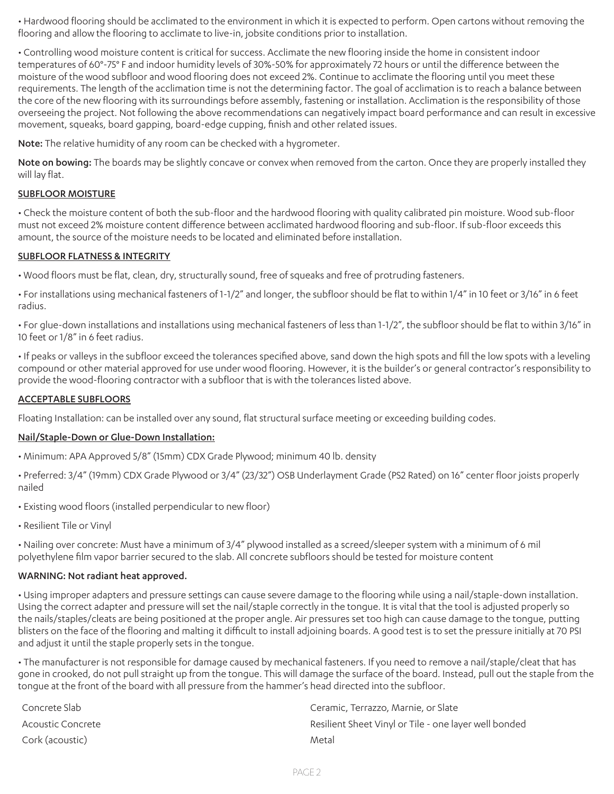• Hardwood flooring should be acclimated to the environment in which it is expected to perform. Open cartons without removing the flooring and allow the flooring to acclimate to live-in, jobsite conditions prior to installation.

• Controlling wood moisture content is critical for success. Acclimate the new flooring inside the home in consistent indoor temperatures of 60°-75° F and indoor humidity levels of 30%-50% for approximately 72 hours or until the difference between the moisture of the wood subfloor and wood flooring does not exceed 2%. Continue to acclimate the flooring until you meet these requirements. The length of the acclimation time is not the determining factor. The goal of acclimation is to reach a balance between the core of the new flooring with its surroundings before assembly, fastening or installation. Acclimation is the responsibility of those overseeing the project. Not following the above recommendations can negatively impact board performance and can result in excessive movement, squeaks, board gapping, board-edge cupping, finish and other related issues.

Note: The relative humidity of any room can be checked with a hygrometer.

Note on bowing: The boards may be slightly concave or convex when removed from the carton. Once they are properly installed they will lay flat.

#### SUBFLOOR MOISTURE

• Check the moisture content of both the sub-floor and the hardwood flooring with quality calibrated pin moisture. Wood sub-floor must not exceed 2% moisture content difference between acclimated hardwood flooring and sub-floor. If sub-floor exceeds this amount, the source of the moisture needs to be located and eliminated before installation.

#### SUBFLOOR FLATNESS & INTEGRITY

• Wood floors must be flat, clean, dry, structurally sound, free of squeaks and free of protruding fasteners.

• For installations using mechanical fasteners of 1-1/2" and longer, the subfloor should be flat to within 1/4" in 10 feet or 3/16" in 6 feet radius.

• For glue-down installations and installations using mechanical fasteners of less than 1-1/2", the subfloor should be flat to within 3/16" in 10 feet or 1/8" in 6 feet radius.

• If peaks or valleys in the subfloor exceed the tolerances specified above, sand down the high spots and fill the low spots with a leveling compound or other material approved for use under wood flooring. However, it is the builder's or general contractor's responsibility to provide the wood-flooring contractor with a subfloor that is with the tolerances listed above.

#### ACCEPTABLE SUBFLOORS

Floating Installation: can be installed over any sound, flat structural surface meeting or exceeding building codes.

#### Nail/Staple-Down or Glue-Down Installation:

• Minimum: APA Approved 5/8" (15mm) CDX Grade Plywood; minimum 40 lb. density

• Preferred: 3/4" (19mm) CDX Grade Plywood or 3/4" (23/32") OSB Underlayment Grade (PS2 Rated) on 16" center floor joists properly nailed

- Existing wood floors (installed perpendicular to new floor)
- Resilient Tile or Vinyl

• Nailing over concrete: Must have a minimum of 3/4" plywood installed as a screed/sleeper system with a minimum of 6 mil polyethylene film vapor barrier secured to the slab. All concrete subfloors should be tested for moisture content

#### WARNING: Not radiant heat approved.

• Using improper adapters and pressure settings can cause severe damage to the flooring while using a nail/staple-down installation. Using the correct adapter and pressure will set the nail/staple correctly in the tongue. It is vital that the tool is adjusted properly so the nails/staples/cleats are being positioned at the proper angle. Air pressures set too high can cause damage to the tongue, putting blisters on the face of the flooring and malting it difficult to install adjoining boards. A good test is to set the pressure initially at 70 PSI and adjust it until the staple properly sets in the tongue.

• The manufacturer is not responsible for damage caused by mechanical fasteners. If you need to remove a nail/staple/cleat that has gone in crooked, do not pull straight up from the tongue. This will damage the surface of the board. Instead, pull out the staple from the tongue at the front of the board with all pressure from the hammer's head directed into the subfloor.

| Concrete Slab     | Ceramic, Terrazzo, Marnie, or Slate                   |
|-------------------|-------------------------------------------------------|
| Acoustic Concrete | Resilient Sheet Vinyl or Tile - one layer well bonded |
| Cork (acoustic)   | Metal                                                 |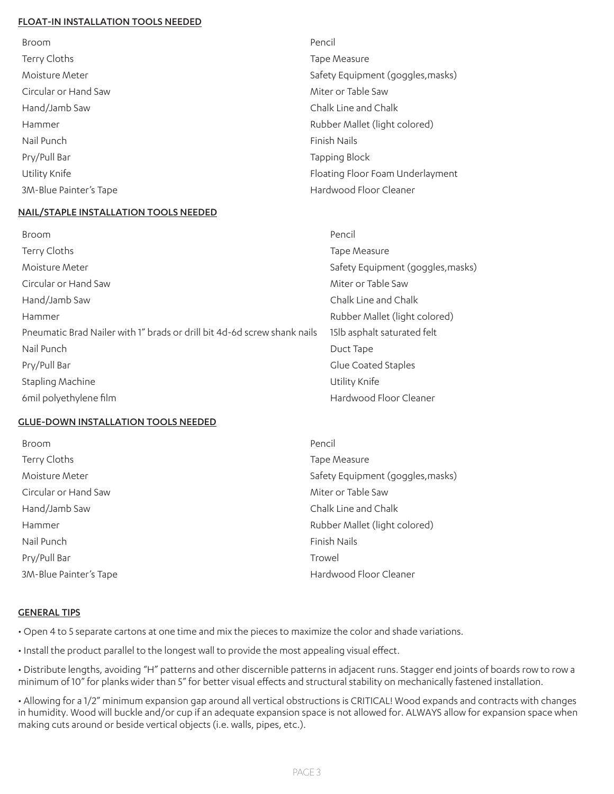#### FLOAT-IN INSTALLATION TOOLS NEEDED

| <b>Broom</b>           | Pencil                            |
|------------------------|-----------------------------------|
| Terry Cloths           | Tape Measure                      |
| Moisture Meter         | Safety Equipment (goggles, masks) |
| Circular or Hand Saw   | Miter or Table Saw                |
| Hand/Jamb Saw          | Chalk Line and Chalk              |
| Hammer                 | Rubber Mallet (light colored)     |
| Nail Punch             | Finish Nails                      |
| Pry/Pull Bar           | Tapping Block                     |
| Utility Knife          | Floating Floor Foam Underlayment  |
| 3M-Blue Painter's Tape | Hardwood Floor Cleaner            |

#### NAIL/STAPLE INSTALLATION TOOLS NEEDED

| Broom                                                                    | Pencil                            |
|--------------------------------------------------------------------------|-----------------------------------|
| Terry Cloths                                                             | Tape Measure                      |
| Moisture Meter                                                           | Safety Equipment (goggles, masks) |
| Circular or Hand Saw                                                     | Miter or Table Saw                |
| Hand/Jamb Saw                                                            | Chalk Line and Chalk              |
| Hammer                                                                   | Rubber Mallet (light colored)     |
| Pneumatic Brad Nailer with 1" brads or drill bit 4d-6d screw shank nails | 15lb asphalt saturated felt       |
| Nail Punch                                                               | Duct Tape                         |
| Pry/Pull Bar                                                             | Glue Coated Staples               |
| Stapling Machine                                                         | Utility Knife                     |
| 6 mil polyethylene film                                                  | Hardwood Floor Cleaner            |

#### GLUE-DOWN INSTALLATION TOOLS NEEDED

| Broom                  | Pencil                            |
|------------------------|-----------------------------------|
| Terry Cloths           | Tape Measure                      |
| Moisture Meter         | Safety Equipment (goggles, masks) |
| Circular or Hand Saw   | Miter or Table Saw                |
| Hand/Jamb Saw          | Chalk Line and Chalk              |
| Hammer                 | Rubber Mallet (light colored)     |
| Nail Punch             | Finish Nails                      |
| Pry/Pull Bar           | Trowel                            |
| 3M-Blue Painter's Tape | Hardwood Floor Cleaner            |

#### **GENERAL TIPS**

• Open 4 to 5 separate cartons at one time and mix the pieces to maximize the color and shade variations.

• Install the product parallel to the longest wall to provide the most appealing visual effect.

• Distribute lengths, avoiding "H" patterns and other discernible patterns in adjacent runs. Stagger end joints of boards row to row a minimum of 10" for planks wider than 5" for better visual effects and structural stability on mechanically fastened installation.

• Allowing for a 1/2" minimum expansion gap around all vertical obstructions is CRITICAL! Wood expands and contracts with changes in humidity. Wood will buckle and/or cup if an adequate expansion space is not allowed for. ALWAYS allow for expansion space when making cuts around or beside vertical objects (i.e. walls, pipes, etc.).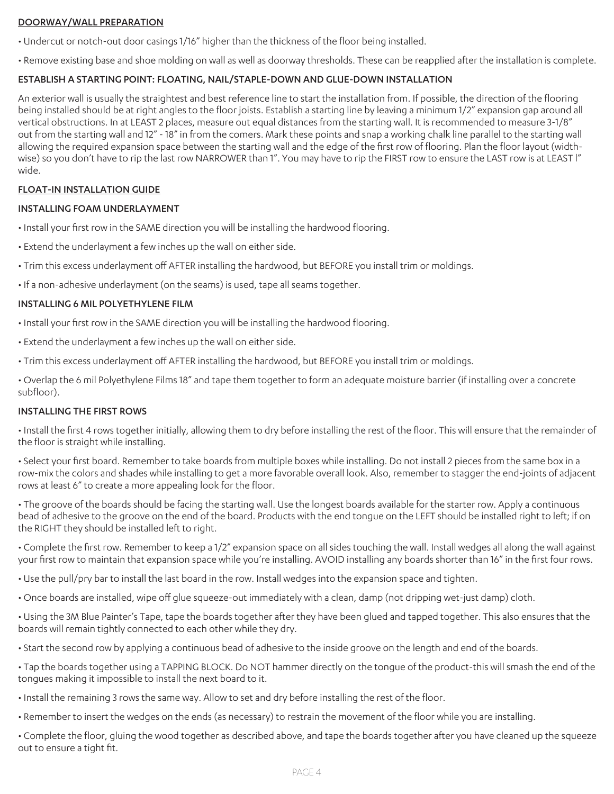#### DOORWAY/WALL PREPARATION

• Undercut or notch-out door casings 1/16" higher than the thickness of the floor being installed.

• Remove existing base and shoe molding on wall as well as doorway thresholds. These can be reapplied after the installation is complete.

# ESTABLISH A STARTING POINT: FLOATING, NAIL/STAPLE-DOWN AND GLUE-DOWN INSTALLATION

An exterior wall is usually the straightest and best reference line to start the installation from. If possible, the direction of the flooring being installed should be at right angles to the floor joists. Establish a starting line by leaving a minimum 1/2" expansion gap around all vertical obstructions. In at LEAST 2 places, measure out equal distances from the starting wall. It is recommended to measure 3-1/8" out from the starting wall and 12" - 18" in from the comers. Mark these points and snap a working chalk line parallel to the starting wall allowing the required expansion space between the starting wall and the edge of the first row of flooring. Plan the floor layout (widthwise) so you don't have to rip the last row NARROWER than 1". You may have to rip the FIRST row to ensure the LAST row is at LEAST l" wide.

# FLOAT-IN INSTALLATION GUIDE

#### INSTALLING FOAM UNDERLAYMENT

- Install your first row in the SAME direction you will be installing the hardwood flooring.
- Extend the underlayment a few inches up the wall on either side.
- Trim this excess underlayment off AFTER installing the hardwood, but BEFORE you install trim or moldings.
- If a non-adhesive underlayment (on the seams) is used, tape all seams together.

#### INSTALLING 6 MIL POLYETHYLENE FILM

- Install your first row in the SAME direction you will be installing the hardwood flooring.
- Extend the underlayment a few inches up the wall on either side.
- Trim this excess underlayment off AFTER installing the hardwood, but BEFORE you install trim or moldings.

• Overlap the 6 mil Polyethylene Films 18" and tape them together to form an adequate moisture barrier (if installing over a concrete subfloor).

#### INSTALLING THE FIRST ROWS

• Install the first 4 rows together initially, allowing them to dry before installing the rest of the floor. This will ensure that the remainder of the floor is straight while installing.

• Select your first board. Remember to take boards from multiple boxes while installing. Do not install 2 pieces from the same box in a row-mix the colors and shades while installing to get a more favorable overall look. Also, remember to stagger the end-joints of adjacent rows at least 6" to create a more appealing look for the floor.

• The groove of the boards should be facing the starting wall. Use the longest boards available for the starter row. Apply a continuous bead of adhesive to the groove on the end of the board. Products with the end tongue on the LEFT should be installed right to left; if on the RIGHT they should be installed left to right.

• Complete the first row. Remember to keep a 1/2" expansion space on all sides touching the wall. Install wedges all along the wall against your first row to maintain that expansion space while you're installing. AVOID installing any boards shorter than 16" in the first four rows.

• Use the pull/pry bar to install the last board in the row. Install wedges into the expansion space and tighten.

• Once boards are installed, wipe off glue squeeze-out immediately with a clean, damp (not dripping wet-just damp) cloth.

• Using the 3M Blue Painter's Tape, tape the boards together after they have been glued and tapped together. This also ensures that the boards will remain tightly connected to each other while they dry.

• Start the second row by applying a continuous bead of adhesive to the inside groove on the length and end of the boards.

• Tap the boards together using a TAPPING BLOCK. Do NOT hammer directly on the tongue of the product-this will smash the end of the tongues making it impossible to install the next board to it.

- Install the remaining 3 rows the same way. Allow to set and dry before installing the rest of the floor.
- Remember to insert the wedges on the ends (as necessary) to restrain the movement of the floor while you are installing.

• Complete the floor, gluing the wood together as described above, and tape the boards together after you have cleaned up the squeeze out to ensure a tight fit.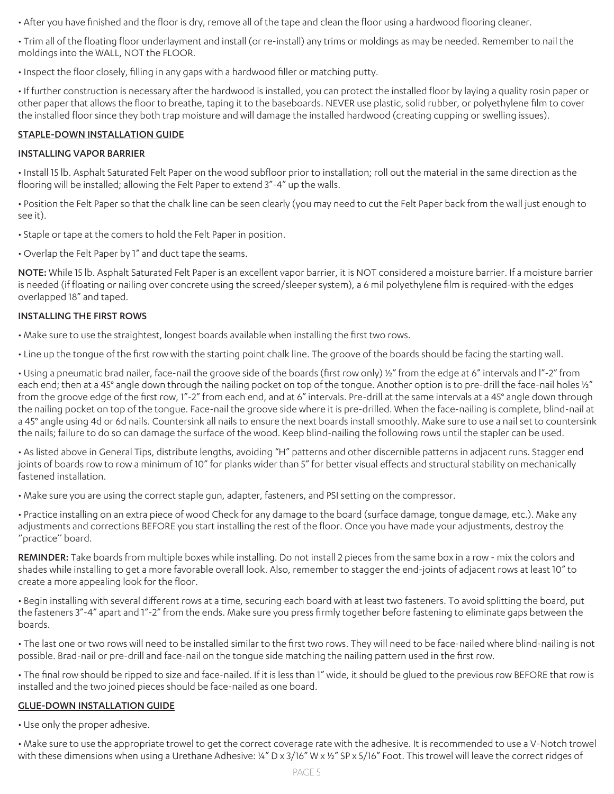• After you have finished and the floor is dry, remove all of the tape and clean the floor using a hardwood flooring cleaner.

• Trim all of the floating floor underlayment and install (or re-install) any trims or moldings as may be needed. Remember to nail the moldings into the WALL, NOT the FLOOR.

• Inspect the floor closely, filling in any gaps with a hardwood filler or matching putty.

• If further construction is necessary after the hardwood is installed, you can protect the installed floor by laying a quality rosin paper or other paper that allows the floor to breathe, taping it to the baseboards. NEVER use plastic, solid rubber, or polyethylene film to cover the installed floor since they both trap moisture and will damage the installed hardwood (creating cupping or swelling issues).

# STAPLE-DOWN INSTALLATION GUIDE

# INSTALLING VAPOR BARRIER

• Install 15 lb. Asphalt Saturated Felt Paper on the wood subfloor prior to installation; roll out the material in the same direction as the flooring will be installed; allowing the Felt Paper to extend 3"-4" up the walls.

• Position the Felt Paper so that the chalk line can be seen clearly (you may need to cut the Felt Paper back from the wall just enough to see it).

- Staple or tape at the comers to hold the Felt Paper in position.
- Overlap the Felt Paper by 1" and duct tape the seams.

NOTE: While 15 lb. Asphalt Saturated Felt Paper is an excellent vapor barrier, it is NOT considered a moisture barrier. If a moisture barrier is needed (if floating or nailing over concrete using the screed/sleeper system), a 6 mil polyethylene film is required-with the edges overlapped 18" and taped.

#### INSTALLING THE FIRST ROWS

• Make sure to use the straightest, longest boards available when installing the first two rows.

• Line up the tongue of the first row with the starting point chalk line. The groove of the boards should be facing the starting wall.

• Using a pneumatic brad nailer, face-nail the groove side of the boards (first row only) ½" from the edge at 6" intervals and l"-2" from each end; then at a 45° angle down through the nailing pocket on top of the tongue. Another option is to pre-drill the face-nail holes ½" from the groove edge of the first row, 1"-2" from each end, and at 6" intervals. Pre-drill at the same intervals at a 45° angle down through the nailing pocket on top of the tongue. Face-nail the groove side where it is pre-drilled. When the face-nailing is complete, blind-nail at a 45° angle using 4d or 6d nails. Countersink all nails to ensure the next boards install smoothly. Make sure to use a nail set to countersink the nails; failure to do so can damage the surface of the wood. Keep blind-nailing the following rows until the stapler can be used.

• As listed above in General Tips, distribute lengths, avoiding "H" patterns and other discernible patterns in adjacent runs. Stagger end joints of boards row to row a minimum of 10" for planks wider than 5" for better visual effects and structural stability on mechanically fastened installation.

• Make sure you are using the correct staple gun, adapter, fasteners, and PSI setting on the compressor.

• Practice installing on an extra piece of wood Check for any damage to the board (surface damage, tongue damage, etc.). Make any adjustments and corrections BEFORE you start installing the rest of the floor. Once you have made your adjustments, destroy the "practice" board.

REMINDER: Take boards from multiple boxes while installing. Do not install 2 pieces from the same box in a row - mix the colors and shades while installing to get a more favorable overall look. Also, remember to stagger the end-joints of adjacent rows at least 10" to create a more appealing look for the floor.

• Begin installing with several different rows at a time, securing each board with at least two fasteners. To avoid splitting the board, put the fasteners 3"-4" apart and 1"-2" from the ends. Make sure you press firmly together before fastening to eliminate gaps between the boards.

• The last one or two rows will need to be installed similar to the first two rows. They will need to be face-nailed where blind-nailing is not possible. Brad-nail or pre-drill and face-nail on the tongue side matching the nailing pattern used in the first row.

• The final row should be ripped to size and face-nailed. If it is less than 1" wide, it should be glued to the previous row BEFORE that row is installed and the two joined pieces should be face-nailed as one board.

# GLUE-DOWN INSTALLATION GUIDE

• Use only the proper adhesive.

• Make sure to use the appropriate trowel to get the correct coverage rate with the adhesive. It is recommended to use a V-Notch trowel with these dimensions when using a Urethane Adhesive: ¼" D x 3/16" W x 1/2" SP x 5/16" Foot. This trowel will leave the correct ridges of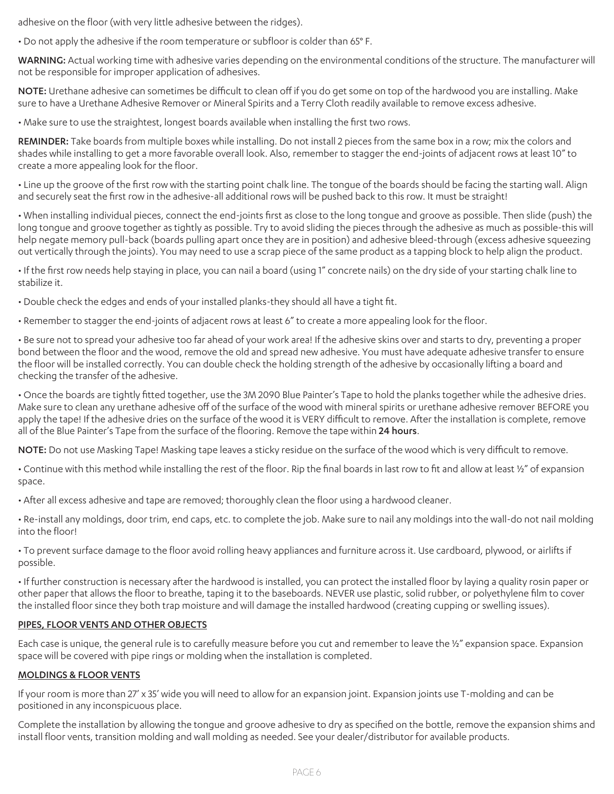adhesive on the floor (with very little adhesive between the ridges).

• Do not apply the adhesive if the room temperature or subfloor is colder than 65° F.

WARNING: Actual working time with adhesive varies depending on the environmental conditions of the structure. The manufacturer will not be responsible for improper application of adhesives.

NOTE: Urethane adhesive can sometimes be difficult to clean off if you do get some on top of the hardwood you are installing. Make sure to have a Urethane Adhesive Remover or Mineral Spirits and a Terry Cloth readily available to remove excess adhesive.

• Make sure to use the straightest, longest boards available when installing the first two rows.

REMINDER: Take boards from multiple boxes while installing. Do not install 2 pieces from the same box in a row; mix the colors and shades while installing to get a more favorable overall look. Also, remember to stagger the end-joints of adjacent rows at least 10" to create a more appealing look for the floor.

• Line up the groove of the first row with the starting point chalk line. The tongue of the boards should be facing the starting wall. Align and securely seat the first row in the adhesive-all additional rows will be pushed back to this row. It must be straight!

• When installing individual pieces, connect the end-joints first as close to the long tongue and groove as possible. Then slide (push) the long tongue and groove together as tightly as possible. Try to avoid sliding the pieces through the adhesive as much as possible-this will help negate memory pull-back (boards pulling apart once they are in position) and adhesive bleed-through (excess adhesive squeezing out vertically through the joints). You may need to use a scrap piece of the same product as a tapping block to help align the product.

• If the first row needs help staying in place, you can nail a board (using 1" concrete nails) on the dry side of your starting chalk line to stabilize it.

• Double check the edges and ends of your installed planks-they should all have a tight fit.

• Remember to stagger the end-joints of adjacent rows at least 6" to create a more appealing look for the floor.

• Be sure not to spread your adhesive too far ahead of your work area! If the adhesive skins over and starts to dry, preventing a proper bond between the floor and the wood, remove the old and spread new adhesive. You must have adequate adhesive transfer to ensure the floor will be installed correctly. You can double check the holding strength of the adhesive by occasionally lifting a board and checking the transfer of the adhesive.

• Once the boards are tightly fitted together, use the 3M 2090 Blue Painter's Tape to hold the planks together while the adhesive dries. Make sure to clean any urethane adhesive off of the surface of the wood with mineral spirits or urethane adhesive remover BEFORE you apply the tape! If the adhesive dries on the surface of the wood it is VERY difficult to remove. After the installation is complete, remove all of the Blue Painter's Tape from the surface of the flooring. Remove the tape within 24 hours.

NOTE: Do not use Masking Tape! Masking tape leaves a sticky residue on the surface of the wood which is very difficult to remove.

• Continue with this method while installing the rest of the floor. Rip the final boards in last row to fit and allow at least ½" of expansion space.

• After all excess adhesive and tape are removed; thoroughly clean the floor using a hardwood cleaner.

• Re-install any moldings, door trim, end caps, etc. to complete the job. Make sure to nail any moldings into the wall-do not nail molding into the floor!

• To prevent surface damage to the floor avoid rolling heavy appliances and furniture across it. Use cardboard, plywood, or airlifts if possible.

• If further construction is necessary after the hardwood is installed, you can protect the installed floor by laying a quality rosin paper or other paper that allows the floor to breathe, taping it to the baseboards. NEVER use plastic, solid rubber, or polyethylene film to cover the installed floor since they both trap moisture and will damage the installed hardwood (creating cupping or swelling issues).

#### PIPES, FLOOR VENTS AND OTHER OBJECTS

Each case is unique, the general rule is to carefully measure before you cut and remember to leave the 1/2" expansion space. Expansion space will be covered with pipe rings or molding when the installation is completed.

#### MOLDINGS & FLOOR VENTS

If your room is more than 27' x 35' wide you will need to allow for an expansion joint. Expansion joints use T-molding and can be positioned in any inconspicuous place.

Complete the installation by allowing the tongue and groove adhesive to dry as specified on the bottle, remove the expansion shims and install floor vents, transition molding and wall molding as needed. See your dealer/distributor for available products.